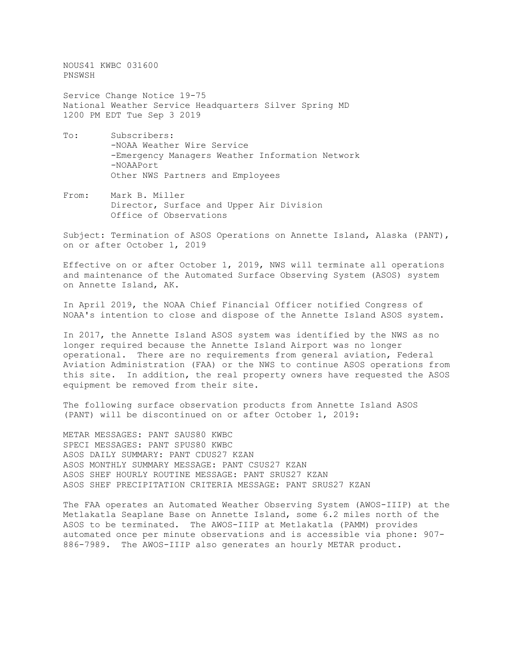NOUS41 KWBC 031600 PNSWSH

Service Change Notice 19-75 National Weather Service Headquarters Silver Spring MD 1200 PM EDT Tue Sep 3 2019

- To: Subscribers: -NOAA Weather Wire Service -Emergency Managers Weather Information Network -NOAAPort Other NWS Partners and Employees
- From: Mark B. Miller Director, Surface and Upper Air Division Office of Observations

Subject: Termination of ASOS Operations on Annette Island, Alaska (PANT), on or after October 1, 2019

Effective on or after October 1, 2019, NWS will terminate all operations and maintenance of the Automated Surface Observing System (ASOS) system on Annette Island, AK.

In April 2019, the NOAA Chief Financial Officer notified Congress of NOAA's intention to close and dispose of the Annette Island ASOS system.

In 2017, the Annette Island ASOS system was identified by the NWS as no longer required because the Annette Island Airport was no longer operational. There are no requirements from general aviation, Federal Aviation Administration (FAA) or the NWS to continue ASOS operations from this site. In addition, the real property owners have requested the ASOS equipment be removed from their site.

The following surface observation products from Annette Island ASOS (PANT) will be discontinued on or after October 1, 2019:

METAR MESSAGES: PANT SAUS80 KWBC SPECI MESSAGES: PANT SPUS80 KWBC ASOS DAILY SUMMARY: PANT CDUS27 KZAN ASOS MONTHLY SUMMARY MESSAGE: PANT CSUS27 KZAN ASOS SHEF HOURLY ROUTINE MESSAGE: PANT SRUS27 KZAN ASOS SHEF PRECIPITATION CRITERIA MESSAGE: PANT SRUS27 KZAN

The FAA operates an Automated Weather Observing System (AWOS-IIIP) at the Metlakatla Seaplane Base on Annette Island, some 6.2 miles north of the ASOS to be terminated. The AWOS-IIIP at Metlakatla (PAMM) provides automated once per minute observations and is accessible via phone: 907- 886-7989. The AWOS-IIIP also generates an hourly METAR product.